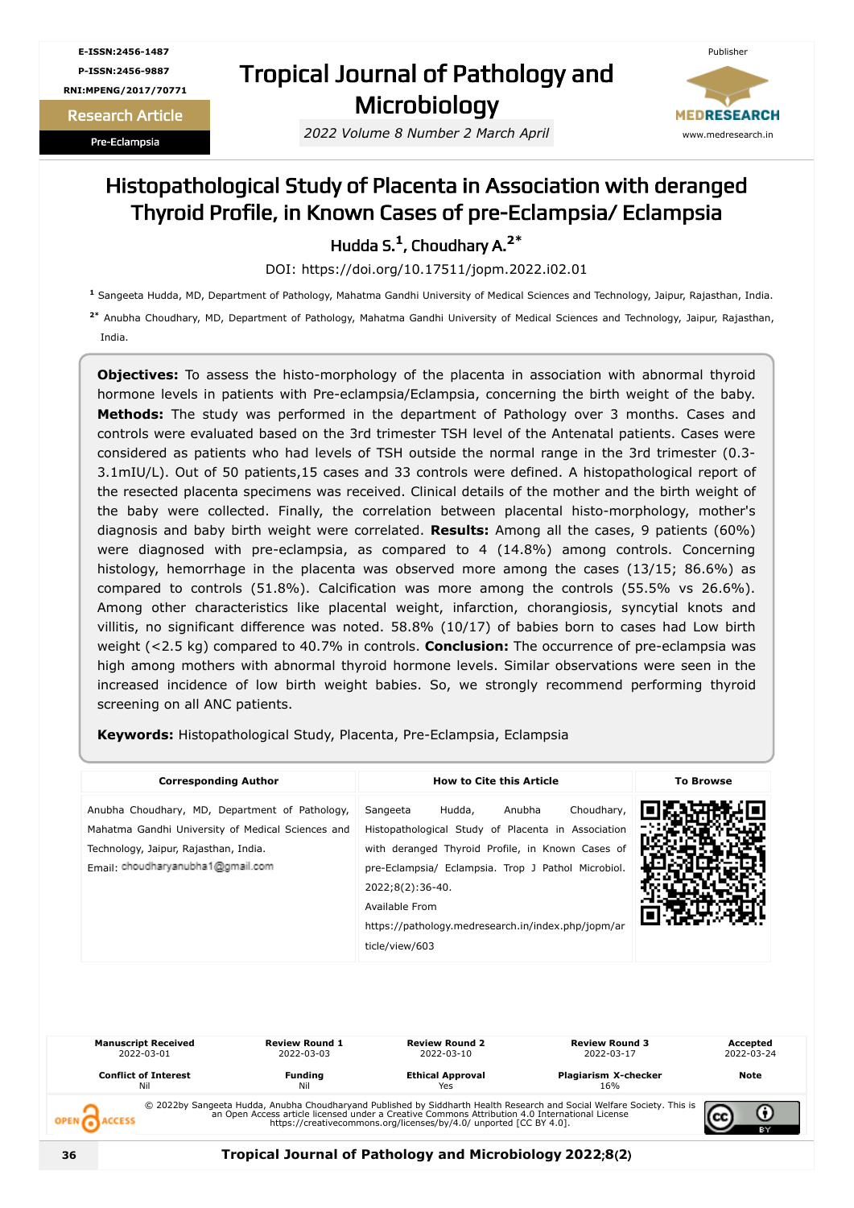**E-ISSN:2456-1487 P-ISSN:2456-9887 RNI:MPENG/2017/70771**

Research Article

Pre-Eclampsia

## Tropical Journal of Pathology and **Microbiology**

*2022 Volume 8 Number 2 March April*



### Histopathological Study of Placenta in Association with deranged Thyroid Profile, in Known Cases of pre-Eclampsia/ Eclampsia

Hudda S. **1** , Choudhary A. **2\***

DOI: https://doi.org/10.17511/jopm.2022.i02.01

**<sup>1</sup>** Sangeeta Hudda, MD, Department of Pathology, Mahatma Gandhi University of Medical Sciences and Technology, Jaipur, Rajasthan, India.

**2\*** Anubha Choudhary, MD, Department of Pathology, Mahatma Gandhi University of Medical Sciences and Technology, Jaipur, Rajasthan, India.

**Objectives:** To assess the histo-morphology of the placenta in association with abnormal thyroid hormone levels in patients with Pre-eclampsia/Eclampsia, concerning the birth weight of the baby. **Methods:** The study was performed in the department of Pathology over 3 months. Cases and controls were evaluated based on the 3rd trimester TSH level of the Antenatal patients. Cases were considered as patients who had levels of TSH outside the normal range in the 3rd trimester (0.3- 3.1mIU/L). Out of 50 patients,15 cases and 33 controls were defined. A histopathological report of the resected placenta specimens was received. Clinical details of the mother and the birth weight of the baby were collected. Finally, the correlation between placental histo-morphology, mother's diagnosis and baby birth weight were correlated. **Results:** Among all the cases, 9 patients (60%) were diagnosed with pre-eclampsia, as compared to 4 (14.8%) among controls. Concerning histology, hemorrhage in the placenta was observed more among the cases (13/15; 86.6%) as compared to controls (51.8%). Calcification was more among the controls (55.5% vs 26.6%). Among other characteristics like placental weight, infarction, chorangiosis, syncytial knots and villitis, no significant difference was noted. 58.8% (10/17) of babies born to cases had Low birth weight (<2.5 kg) compared to 40.7% in controls. **Conclusion:** The occurrence of pre-eclampsia was high among mothers with abnormal thyroid hormone levels. Similar observations were seen in the increased incidence of low birth weight babies. So, we strongly recommend performing thyroid screening on all ANC patients.

**Keywords:** Histopathological Study, Placenta, Pre-Eclampsia, Eclampsia

| <b>Corresponding Author</b>                                                                                                                                                       | <b>How to Cite this Article</b>                                                                                                                                                                                                                                                                                          | <b>To Browse</b> |
|-----------------------------------------------------------------------------------------------------------------------------------------------------------------------------------|--------------------------------------------------------------------------------------------------------------------------------------------------------------------------------------------------------------------------------------------------------------------------------------------------------------------------|------------------|
| Anubha Choudhary, MD, Department of Pathology,<br>Mahatma Gandhi University of Medical Sciences and<br>Technology, Jaipur, Rajasthan, India.<br>Email: choudharyanubha1@gmail.com | Choudhary,<br>Hudda,<br>Anubha<br>Sangeeta<br>Histopathological Study of Placenta in Association<br>with deranged Thyroid Profile, in Known Cases of<br>pre-Eclampsia/ Eclampsia. Trop J Pathol Microbiol.<br>2022;8(2):36-40.<br>Available From<br>https://pathology.medresearch.in/index.php/jopm/ar<br>ticle/view/603 |                  |

| <b>Manuscript Received</b><br>2022-03-01 | <b>Review Round 1</b><br>2022-03-03 | <b>Review Round 2</b><br>2022-03-10 | <b>Review Round 3</b><br>2022-03-17                                                                                                                                                                                                  | Accepted<br>2022-03-24 |
|------------------------------------------|-------------------------------------|-------------------------------------|--------------------------------------------------------------------------------------------------------------------------------------------------------------------------------------------------------------------------------------|------------------------|
| <b>Conflict of Interest</b><br>Nil       | <b>Funding</b><br>Nil               | <b>Ethical Approval</b><br>Yes      | Plagiarism X-checker<br>16%                                                                                                                                                                                                          | Note                   |
|                                          |                                     |                                     | © 2022by Sangeeta Hudda, Anubha Choudharyand Published by Siddharth Health Research and Social Welfare Society. This is<br>an Open Access article licensed under a Creative Commons Attribution 4.0 International License<br>https:/ |                        |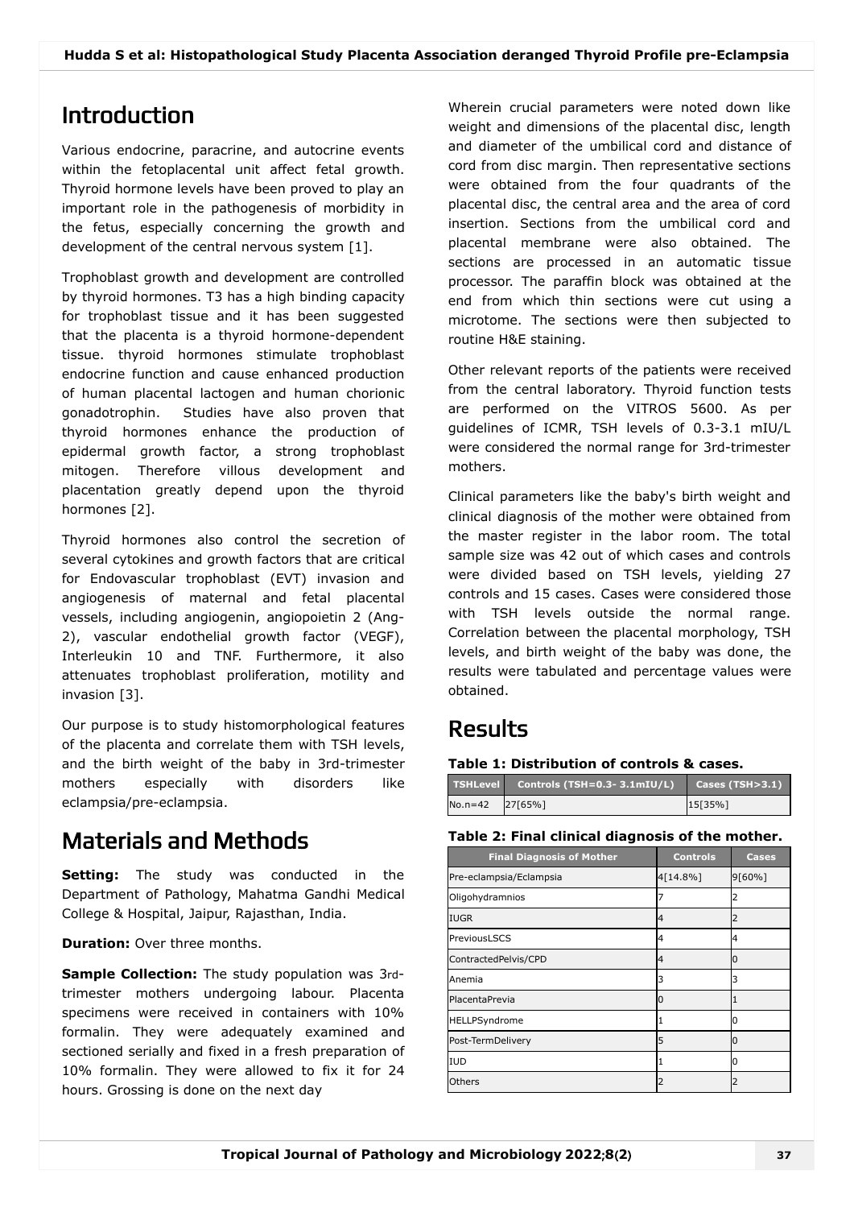## Introduction

Various endocrine, paracrine, and autocrine events within the fetoplacental unit affect fetal growth. Thyroid hormone levels have been proved to play an important role in the pathogenesis of morbidity in the fetus, especially concerning the growth and development of the central nervous system [1].

Trophoblast growth and development are controlled by thyroid hormones. T3 has a high binding capacity for trophoblast tissue and it has been suggested that the placenta is a thyroid hormone-dependent tissue. thyroid hormones stimulate trophoblast endocrine function and cause enhanced production of human placental lactogen and human chorionic gonadotrophin. Studies have also proven that thyroid hormones enhance the production of epidermal growth factor, a strong trophoblast mitogen. Therefore villous development and placentation greatly depend upon the thyroid hormones [2].

Thyroid hormones also control the secretion of several cytokines and growth factors that are critical for Endovascular trophoblast (EVT) invasion and angiogenesis of maternal and fetal placental vessels, including angiogenin, angiopoietin 2 (Ang-2), vascular endothelial growth factor (VEGF), Interleukin 10 and TNF. Furthermore, it also attenuates trophoblast proliferation, motility and invasion [3].

Our purpose is to study histomorphological features of the placenta and correlate them with TSH levels, and the birth weight of the baby in 3rd-trimester mothers especially with disorders like eclampsia/pre-eclampsia.

## Materials and Methods

**Setting:** The study was conducted in the Department of Pathology, Mahatma Gandhi Medical College & Hospital, Jaipur, Rajasthan, India.

**Duration:** Over three months.

**Sample Collection:** The study population was 3rdtrimester mothers undergoing labour. Placenta specimens were received in containers with 10% formalin. They were adequately examined and sectioned serially and fixed in a fresh preparation of 10% formalin. They were allowed to fix it for 24 hours. Grossing is done on the next day

Wherein crucial parameters were noted down like weight and dimensions of the placental disc, length and diameter of the umbilical cord and distance of cord from disc margin. Then representative sections were obtained from the four quadrants of the placental disc, the central area and the area of cord insertion. Sections from the umbilical cord and placental membrane were also obtained. The sections are processed in an automatic tissue processor. The paraffin block was obtained at the end from which thin sections were cut using a microtome. The sections were then subjected to routine H&E staining.

Other relevant reports of the patients were received from the central laboratory. Thyroid function tests are performed on the VITROS 5600. As per guidelines of ICMR, TSH levels of 0.3-3.1 mIU/L were considered the normal range for 3rd-trimester mothers.

Clinical parameters like the baby's birth weight and clinical diagnosis of the mother were obtained from the master register in the labor room. The total sample size was 42 out of which cases and controls were divided based on TSH levels, yielding 27 controls and 15 cases. Cases were considered those with TSH levels outside the normal range. Correlation between the placental morphology, TSH levels, and birth weight of the baby was done, the results were tabulated and percentage values were obtained.

### Results

#### **Table 1: Distribution of controls & cases.**

| <b>TSHLevel</b> | Controls (TSH=0.3- 3.1mIU/L) | $\vert$ Cases (TSH $>$ 3.1) |
|-----------------|------------------------------|-----------------------------|
| $No.n=42$       | 27[65%]                      | 15[35%]                     |

#### **Table 2: Final clinical diagnosis of the mother.**

| <b>Final Diagnosis of Mother</b> | <b>Controls</b> | <b>Cases</b> |
|----------------------------------|-----------------|--------------|
| Pre-eclampsia/Eclampsia          | 4[14.8%]        | 9[60%]       |
| Oligohydramnios                  |                 | 2            |
| <b>IUGR</b>                      | 4               | 2            |
| PreviousLSCS                     | 4               | 4            |
| ContractedPelvis/CPD             | 4               |              |
| Anemia                           | 3               | 3            |
| PlacentaPrevia                   | n               |              |
| HELLPSyndrome                    |                 | n            |
| Post-TermDelivery                | 5               | n            |
| <b>IUD</b>                       |                 | O            |
| Others                           |                 |              |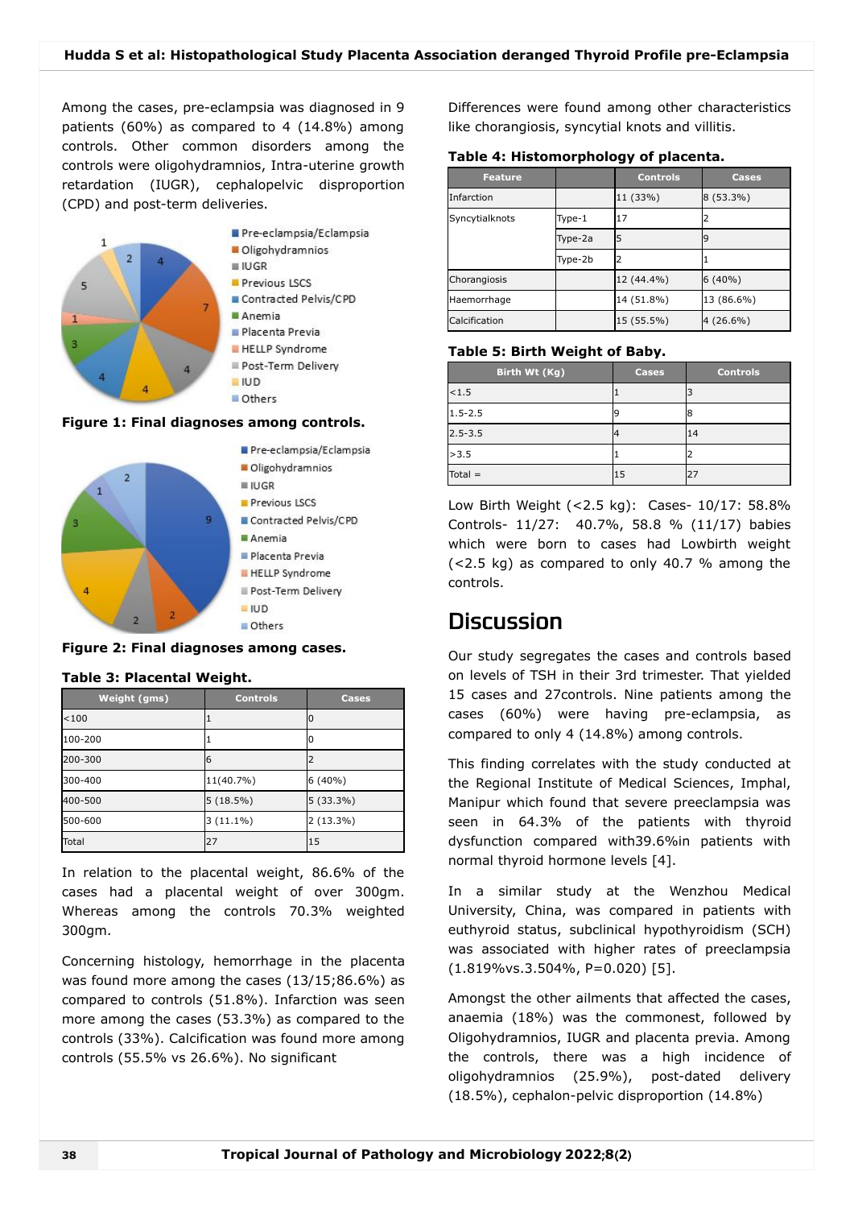Among the cases, pre-eclampsia was diagnosed in 9 patients (60%) as compared to 4 (14.8%) among controls. Other common disorders among the controls were oligohydramnios, Intra-uterine growth retardation (IUGR), cephalopelvic disproportion (CPD) and post-term deliveries.



#### **Figure 1: Final diagnoses among controls.**



**Figure 2: Final diagnoses among cases.**

#### **Table 3: Placental Weight.**

| <b>Weight (gms)</b> | <b>Controls</b> | <b>Cases</b> |
|---------------------|-----------------|--------------|
| < 100               |                 |              |
| 100-200             |                 |              |
| 200-300             | 6               |              |
| 300-400             | 11(40.7%)       | $6(40\%)$    |
| 400-500             | $5(18.5\%)$     | 5 (33.3%)    |
| 500-600             | $3(11.1\%)$     | $2(13.3\%)$  |
| Total               | 27              | 15           |

In relation to the placental weight, 86.6% of the cases had a placental weight of over 300gm. Whereas among the controls 70.3% weighted 300gm.

Concerning histology, hemorrhage in the placenta was found more among the cases (13/15;86.6%) as compared to controls (51.8%). Infarction was seen more among the cases (53.3%) as compared to the controls (33%). Calcification was found more among controls (55.5% vs 26.6%). No significant

Differences were found among other characteristics like chorangiosis, syncytial knots and villitis.

#### **Table 4: Histomorphology of placenta.**

| <b>Feature</b> |         | <b>Controls</b> | <b>Cases</b> |
|----------------|---------|-----------------|--------------|
| Infarction     |         | 11 (33%)        | 8 (53.3%)    |
| Syncytialknots | Type-1  | 17              | 2            |
|                | Type-2a |                 | ٩            |
|                | Type-2b |                 |              |
| Chorangiosis   |         | 12 (44.4%)      | $6(40\%)$    |
| Haemorrhage    |         | 14 (51.8%)      | 13 (86.6%)   |
| Calcification  |         | 15 (55.5%)      | 4 (26.6%)    |

#### **Table 5: Birth Weight of Baby.**

| Birth Wt (Kg), | <b>Cases</b> | <b>Controls</b> |
|----------------|--------------|-----------------|
| 1.5            |              |                 |
| $1.5 - 2.5$    |              | Я               |
| $2.5 - 3.5$    |              | 14              |
| >3.5           |              |                 |
| $Total =$      | 15           | 27              |

Low Birth Weight (<2.5 kg): Cases- 10/17: 58.8% Controls- 11/27: 40.7%, 58.8 % (11/17) babies which were born to cases had Lowbirth weight (<2.5 kg) as compared to only 40.7 % among the controls.

### **Discussion**

Our study segregates the cases and controls based on levels of TSH in their 3rd trimester. That yielded 15 cases and 27controls. Nine patients among the cases (60%) were having pre-eclampsia, as compared to only 4 (14.8%) among controls.

This finding correlates with the study conducted at the Regional Institute of Medical Sciences, Imphal, Manipur which found that severe preeclampsia was seen in 64.3% of the patients with thyroid dysfunction compared with39.6%in patients with normal thyroid hormone levels [4].

In a similar study at the Wenzhou Medical University, China, was compared in patients with euthyroid status, subclinical hypothyroidism (SCH) was associated with higher rates of preeclampsia (1.819%vs.3.504%, P=0.020) [5].

Amongst the other ailments that affected the cases, anaemia (18%) was the commonest, followed by Oligohydramnios, IUGR and placenta previa. Among the controls, there was a high incidence of oligohydramnios (25.9%), post-dated delivery (18.5%), cephalon-pelvic disproportion (14.8%)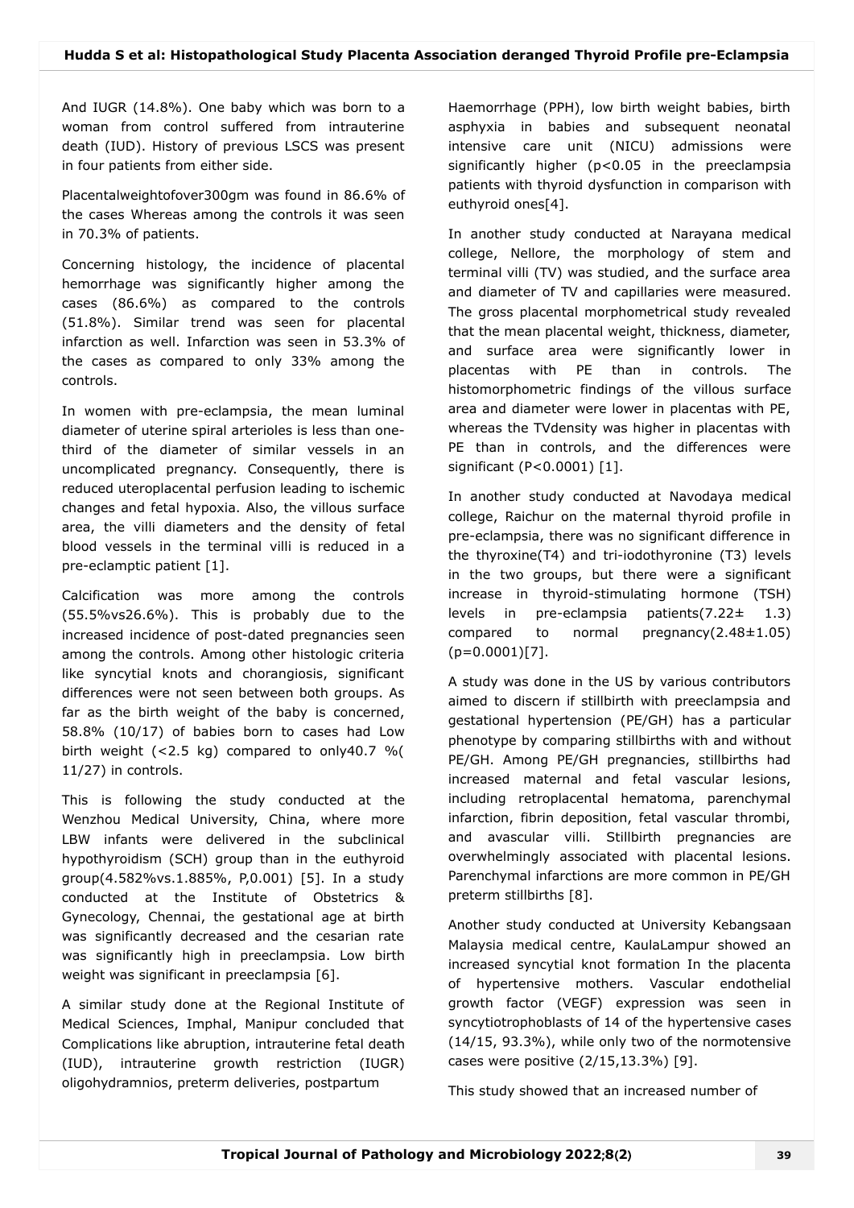And IUGR (14.8%). One baby which was born to a woman from control suffered from intrauterine death (IUD). History of previous LSCS was present in four patients from either side.

Placentalweightofover300gm was found in 86.6% of the cases Whereas among the controls it was seen in 70.3% of patients.

Concerning histology, the incidence of placental hemorrhage was significantly higher among the cases (86.6%) as compared to the controls (51.8%). Similar trend was seen for placental infarction as well. Infarction was seen in 53.3% of the cases as compared to only 33% among the controls.

In women with pre-eclampsia, the mean luminal diameter of uterine spiral arterioles is less than onethird of the diameter of similar vessels in an uncomplicated pregnancy. Consequently, there is reduced uteroplacental perfusion leading to ischemic changes and fetal hypoxia. Also, the villous surface area, the villi diameters and the density of fetal blood vessels in the terminal villi is reduced in a pre-eclamptic patient [1].

Calcification was more among the controls (55.5%vs26.6%). This is probably due to the increased incidence of post-dated pregnancies seen among the controls. Among other histologic criteria like syncytial knots and chorangiosis, significant differences were not seen between both groups. As far as the birth weight of the baby is concerned, 58.8% (10/17) of babies born to cases had Low birth weight (<2.5 kg) compared to only40.7 %( 11/27) in controls.

This is following the study conducted at the Wenzhou Medical University, China, where more LBW infants were delivered in the subclinical hypothyroidism (SCH) group than in the euthyroid group(4.582%vs.1.885%, P,0.001) [5]. In a study conducted at the Institute of Obstetrics & Gynecology, Chennai, the gestational age at birth was significantly decreased and the cesarian rate was significantly high in preeclampsia. Low birth weight was significant in preeclampsia [6].

A similar study done at the Regional Institute of Medical Sciences, Imphal, Manipur concluded that Complications like abruption, intrauterine fetal death (IUD), intrauterine growth restriction (IUGR) oligohydramnios, preterm deliveries, postpartum

Haemorrhage (PPH), low birth weight babies, birth asphyxia in babies and subsequent neonatal intensive care unit (NICU) admissions were significantly higher (p<0.05 in the preeclampsia patients with thyroid dysfunction in comparison with euthyroid ones[4].

In another study conducted at Narayana medical college, Nellore, the morphology of stem and terminal villi (TV) was studied, and the surface area and diameter of TV and capillaries were measured. The gross placental morphometrical study revealed that the mean placental weight, thickness, diameter, and surface area were significantly lower in placentas with PE than in controls. The histomorphometric findings of the villous surface area and diameter were lower in placentas with PE, whereas the TVdensity was higher in placentas with PE than in controls, and the differences were significant (P<0.0001) [1].

In another study conducted at Navodaya medical college, Raichur on the maternal thyroid profile in pre-eclampsia, there was no significant difference in the thyroxine(T4) and tri-iodothyronine (T3) levels in the two groups, but there were a significant increase in thyroid-stimulating hormone (TSH) levels in pre-eclampsia patients(7.22± 1.3) compared to normal pregnancy(2.48±1.05)  $(p=0.0001)[7]$ .

A study was done in the US by various contributors aimed to discern if stillbirth with preeclampsia and gestational hypertension (PE/GH) has a particular phenotype by comparing stillbirths with and without PE/GH. Among PE/GH pregnancies, stillbirths had increased maternal and fetal vascular lesions, including retroplacental hematoma, parenchymal infarction, fibrin deposition, fetal vascular thrombi, and avascular villi. Stillbirth pregnancies are overwhelmingly associated with placental lesions. Parenchymal infarctions are more common in PE/GH preterm stillbirths [8].

Another study conducted at University Kebangsaan Malaysia medical centre, KaulaLampur showed an increased syncytial knot formation In the placenta of hypertensive mothers. Vascular endothelial growth factor (VEGF) expression was seen in syncytiotrophoblasts of 14 of the hypertensive cases (14/15, 93.3%), while only two of the normotensive cases were positive (2/15,13.3%) [9].

This study showed that an increased number of